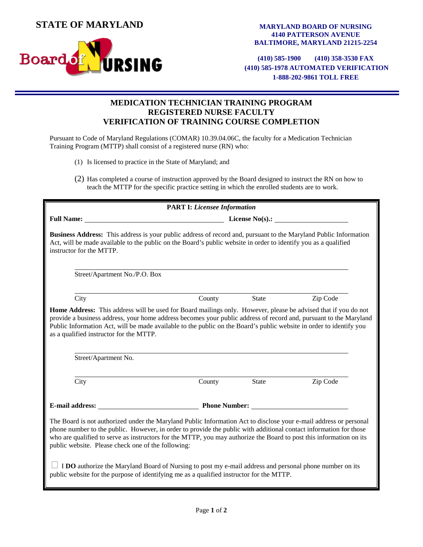**STATE OF MARYLAND**

**Board** 



**(410) 585-1900 (410) 358-3530 FAX (410) 585-1978 AUTOMATED VERIFICATION 1-888-202-9861 TOLL FREE**

## **MEDICATION TECHNICIAN TRAINING PROGRAM REGISTERED NURSE FACULTY VERIFICATION OF TRAINING COURSE COMPLETION**

Pursuant to Code of Maryland Regulations (COMAR) 10.39.04.06C, the faculty for a Medication Technician Training Program (MTTP) shall consist of a registered nurse (RN) who:

(1) Is licensed to practice in the State of Maryland; and

**RSING** 

(2) Has completed a course of instruction approved by the Board designed to instruct the RN on how to teach the MTTP for the specific practice setting in which the enrolled students are to work.

| <b>PART I: Licensee Information</b>                                                                                                                                                                                                                                                                                                                                                                                           |                                                                                                                                                                                                                                                                                                                                                                                                                      |              |          |  |  |
|-------------------------------------------------------------------------------------------------------------------------------------------------------------------------------------------------------------------------------------------------------------------------------------------------------------------------------------------------------------------------------------------------------------------------------|----------------------------------------------------------------------------------------------------------------------------------------------------------------------------------------------------------------------------------------------------------------------------------------------------------------------------------------------------------------------------------------------------------------------|--------------|----------|--|--|
| <b>Full Name:</b>                                                                                                                                                                                                                                                                                                                                                                                                             | $\frac{1}{\sqrt{1-\frac{1}{2}}\sqrt{1-\frac{1}{2}}\sqrt{1-\frac{1}{2}}\sqrt{1-\frac{1}{2}}\sqrt{1-\frac{1}{2}}\sqrt{1-\frac{1}{2}}\sqrt{1-\frac{1}{2}}\sqrt{1-\frac{1}{2}}\sqrt{1-\frac{1}{2}}\sqrt{1-\frac{1}{2}}\sqrt{1-\frac{1}{2}}\sqrt{1-\frac{1}{2}}\sqrt{1-\frac{1}{2}}\sqrt{1-\frac{1}{2}}\sqrt{1-\frac{1}{2}}\sqrt{1-\frac{1}{2}}\sqrt{1-\frac{1}{2}}\sqrt{1-\frac{1}{2}}\sqrt{1-\frac{1}{2}}\sqrt{1-\frac$ |              |          |  |  |
| <b>Business Address:</b> This address is your public address of record and, pursuant to the Maryland Public Information<br>Act, will be made available to the public on the Board's public website in order to identify you as a qualified<br>instructor for the MTTP.                                                                                                                                                        |                                                                                                                                                                                                                                                                                                                                                                                                                      |              |          |  |  |
| Street/Apartment No./P.O. Box                                                                                                                                                                                                                                                                                                                                                                                                 |                                                                                                                                                                                                                                                                                                                                                                                                                      |              |          |  |  |
| City                                                                                                                                                                                                                                                                                                                                                                                                                          | County                                                                                                                                                                                                                                                                                                                                                                                                               | State        | Zip Code |  |  |
| Home Address: This address will be used for Board mailings only. However, please be advised that if you do not<br>provide a business address, your home address becomes your public address of record and, pursuant to the Maryland<br>Public Information Act, will be made available to the public on the Board's public website in order to identify you<br>as a qualified instructor for the MTTP.<br>Street/Apartment No. |                                                                                                                                                                                                                                                                                                                                                                                                                      |              |          |  |  |
| City                                                                                                                                                                                                                                                                                                                                                                                                                          | County                                                                                                                                                                                                                                                                                                                                                                                                               | <b>State</b> | Zip Code |  |  |
|                                                                                                                                                                                                                                                                                                                                                                                                                               | E-mail address: Phone Number:                                                                                                                                                                                                                                                                                                                                                                                        |              |          |  |  |
| The Board is not authorized under the Maryland Public Information Act to disclose your e-mail address or personal<br>phone number to the public. However, in order to provide the public with additional contact information for those<br>who are qualified to serve as instructors for the MTTP, you may authorize the Board to post this information on its<br>public website. Please check one of the following:           |                                                                                                                                                                                                                                                                                                                                                                                                                      |              |          |  |  |
| I DO authorize the Maryland Board of Nursing to post my e-mail address and personal phone number on its<br>public website for the purpose of identifying me as a qualified instructor for the MTTP.                                                                                                                                                                                                                           |                                                                                                                                                                                                                                                                                                                                                                                                                      |              |          |  |  |